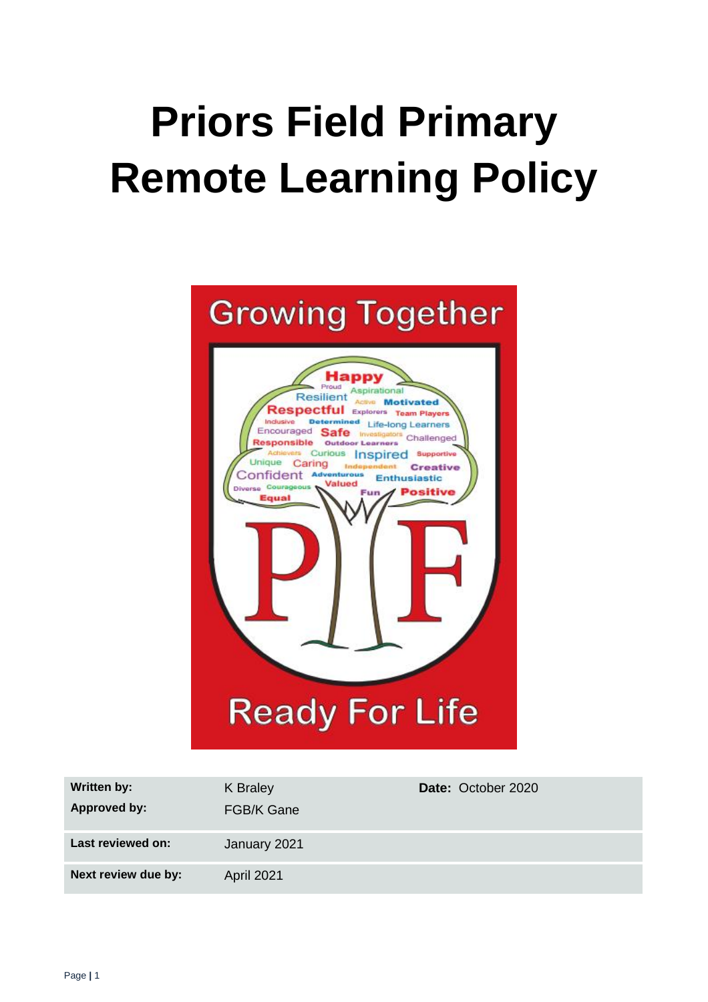# **Priors Field Primary Remote Learning Policy**



| <b>Written by:</b>  | K Braley          | Date: October 2020 |
|---------------------|-------------------|--------------------|
| <b>Approved by:</b> | <b>FGB/K Gane</b> |                    |
| Last reviewed on:   | January 2021      |                    |
| Next review due by: | <b>April 2021</b> |                    |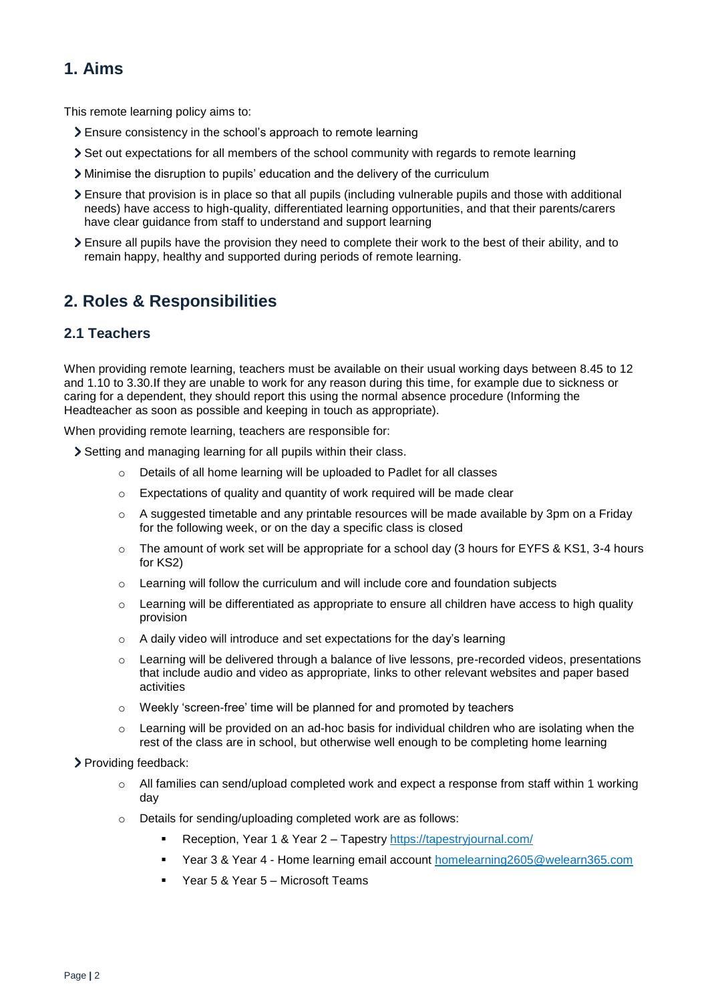# **1. Aims**

This remote learning policy aims to:

- Ensure consistency in the school's approach to remote learning
- Set out expectations for all members of the school community with regards to remote learning
- Minimise the disruption to pupils' education and the delivery of the curriculum
- Ensure that provision is in place so that all pupils (including vulnerable pupils and those with additional needs) have access to high-quality, differentiated learning opportunities, and that their parents/carers have clear guidance from staff to understand and support learning
- Ensure all pupils have the provision they need to complete their work to the best of their ability, and to remain happy, healthy and supported during periods of remote learning.

# **2. Roles & Responsibilities**

## **2.1 Teachers**

When providing remote learning, teachers must be available on their usual working days between 8.45 to 12 and 1.10 to 3.30.If they are unable to work for any reason during this time, for example due to sickness or caring for a dependent, they should report this using the normal absence procedure (Informing the Headteacher as soon as possible and keeping in touch as appropriate).

When providing remote learning, teachers are responsible for:

Setting and managing learning for all pupils within their class.

- o Details of all home learning will be uploaded to Padlet for all classes
- o Expectations of quality and quantity of work required will be made clear
- $\circ$  A suggested timetable and any printable resources will be made available by 3pm on a Friday for the following week, or on the day a specific class is closed
- $\circ$  The amount of work set will be appropriate for a school day (3 hours for EYFS & KS1, 3-4 hours for KS2)
- $\circ$  Learning will follow the curriculum and will include core and foundation subjects
- o Learning will be differentiated as appropriate to ensure all children have access to high quality provision
- o A daily video will introduce and set expectations for the day's learning
- $\circ$  Learning will be delivered through a balance of live lessons, pre-recorded videos, presentations that include audio and video as appropriate, links to other relevant websites and paper based activities
- o Weekly 'screen-free' time will be planned for and promoted by teachers
- $\circ$  Learning will be provided on an ad-hoc basis for individual children who are isolating when the rest of the class are in school, but otherwise well enough to be completing home learning

#### > Providing feedback:

- All families can send/upload completed work and expect a response from staff within 1 working day
- o Details for sending/uploading completed work are as follows:
	- Reception, Year 1 & Year 2 Tapestry <https://tapestryjournal.com/>
	- Year 3 & Year 4 Home learning email account [homelearning2605@welearn365.com](mailto:homelearning2605@welearn365.com)
	- Year 5 & Year 5 Microsoft Teams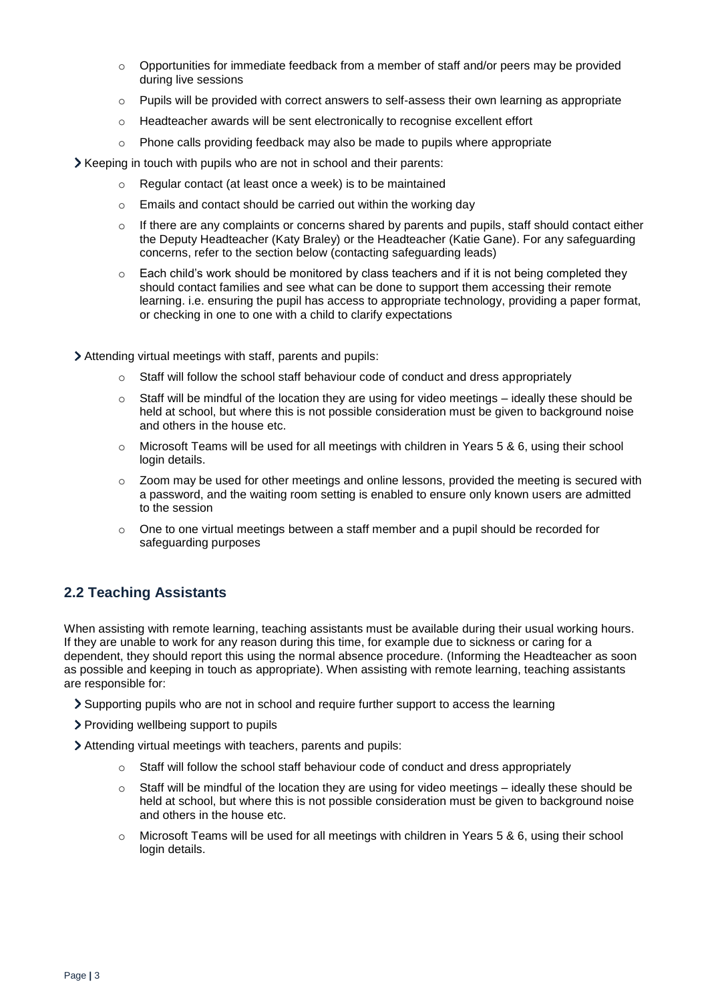- $\circ$  Opportunities for immediate feedback from a member of staff and/or peers may be provided during live sessions
- $\circ$  Pupils will be provided with correct answers to self-assess their own learning as appropriate
- o Headteacher awards will be sent electronically to recognise excellent effort
- $\circ$  Phone calls providing feedback may also be made to pupils where appropriate
- Xeeping in touch with pupils who are not in school and their parents:
	- o Regular contact (at least once a week) is to be maintained
	- o Emails and contact should be carried out within the working day
	- $\circ$  If there are any complaints or concerns shared by parents and pupils, staff should contact either the Deputy Headteacher (Katy Braley) or the Headteacher (Katie Gane). For any safeguarding concerns, refer to the section below (contacting safeguarding leads)
	- $\circ$  Each child's work should be monitored by class teachers and if it is not being completed they should contact families and see what can be done to support them accessing their remote learning. i.e. ensuring the pupil has access to appropriate technology, providing a paper format, or checking in one to one with a child to clarify expectations
- Attending virtual meetings with staff, parents and pupils:
	- $\circ$  Staff will follow the school staff behaviour code of conduct and dress appropriately
	- $\circ$  Staff will be mindful of the location they are using for video meetings ideally these should be held at school, but where this is not possible consideration must be given to background noise and others in the house etc.
	- o Microsoft Teams will be used for all meetings with children in Years 5 & 6, using their school login details.
	- $\circ$  Zoom may be used for other meetings and online lessons, provided the meeting is secured with a password, and the waiting room setting is enabled to ensure only known users are admitted to the session
	- $\circ$  One to one virtual meetings between a staff member and a pupil should be recorded for safeguarding purposes

## **2.2 Teaching Assistants**

When assisting with remote learning, teaching assistants must be available during their usual working hours. If they are unable to work for any reason during this time, for example due to sickness or caring for a dependent, they should report this using the normal absence procedure. (Informing the Headteacher as soon as possible and keeping in touch as appropriate). When assisting with remote learning, teaching assistants are responsible for:

- Supporting pupils who are not in school and require further support to access the learning
- Providing wellbeing support to pupils
- Attending virtual meetings with teachers, parents and pupils:
	- $\circ$  Staff will follow the school staff behaviour code of conduct and dress appropriately
	- $\circ$  Staff will be mindful of the location they are using for video meetings ideally these should be held at school, but where this is not possible consideration must be given to background noise and others in the house etc.
	- $\circ$  Microsoft Teams will be used for all meetings with children in Years 5 & 6, using their school login details.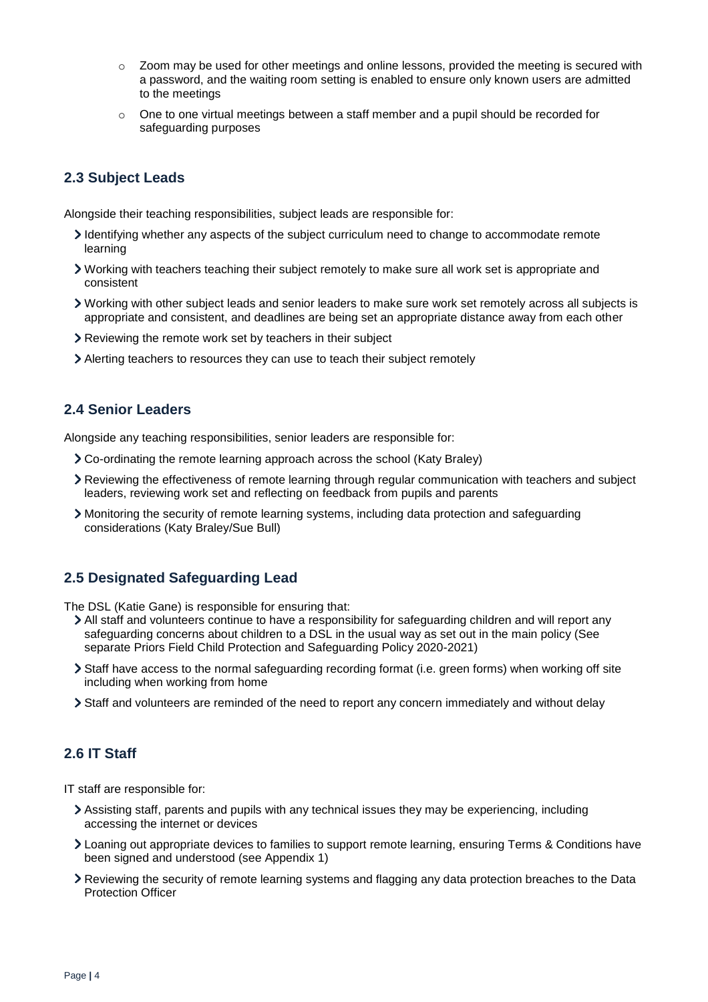- $\circ$  Zoom may be used for other meetings and online lessons, provided the meeting is secured with a password, and the waiting room setting is enabled to ensure only known users are admitted to the meetings
- $\circ$  One to one virtual meetings between a staff member and a pupil should be recorded for safeguarding purposes

## **2.3 Subject Leads**

Alongside their teaching responsibilities, subject leads are responsible for:

- Identifying whether any aspects of the subject curriculum need to change to accommodate remote learning
- Working with teachers teaching their subject remotely to make sure all work set is appropriate and consistent
- Working with other subject leads and senior leaders to make sure work set remotely across all subjects is appropriate and consistent, and deadlines are being set an appropriate distance away from each other
- Reviewing the remote work set by teachers in their subject
- Alerting teachers to resources they can use to teach their subject remotely

#### **2.4 Senior Leaders**

Alongside any teaching responsibilities, senior leaders are responsible for:

- Co-ordinating the remote learning approach across the school (Katy Braley)
- Reviewing the effectiveness of remote learning through regular communication with teachers and subject leaders, reviewing work set and reflecting on feedback from pupils and parents
- Monitoring the security of remote learning systems, including data protection and safeguarding considerations (Katy Braley/Sue Bull)

### **2.5 Designated Safeguarding Lead**

The DSL (Katie Gane) is responsible for ensuring that:

- All staff and volunteers continue to have a responsibility for safeguarding children and will report any safeguarding concerns about children to a DSL in the usual way as set out in the main policy (See separate Priors Field Child Protection and Safeguarding Policy 2020-2021)
- Staff have access to the normal safeguarding recording format (i.e. green forms) when working off site including when working from home
- Staff and volunteers are reminded of the need to report any concern immediately and without delay

## **2.6 IT Staff**

IT staff are responsible for:

- Assisting staff, parents and pupils with any technical issues they may be experiencing, including accessing the internet or devices
- Loaning out appropriate devices to families to support remote learning, ensuring Terms & Conditions have been signed and understood (see Appendix 1)
- Reviewing the security of remote learning systems and flagging any data protection breaches to the Data Protection Officer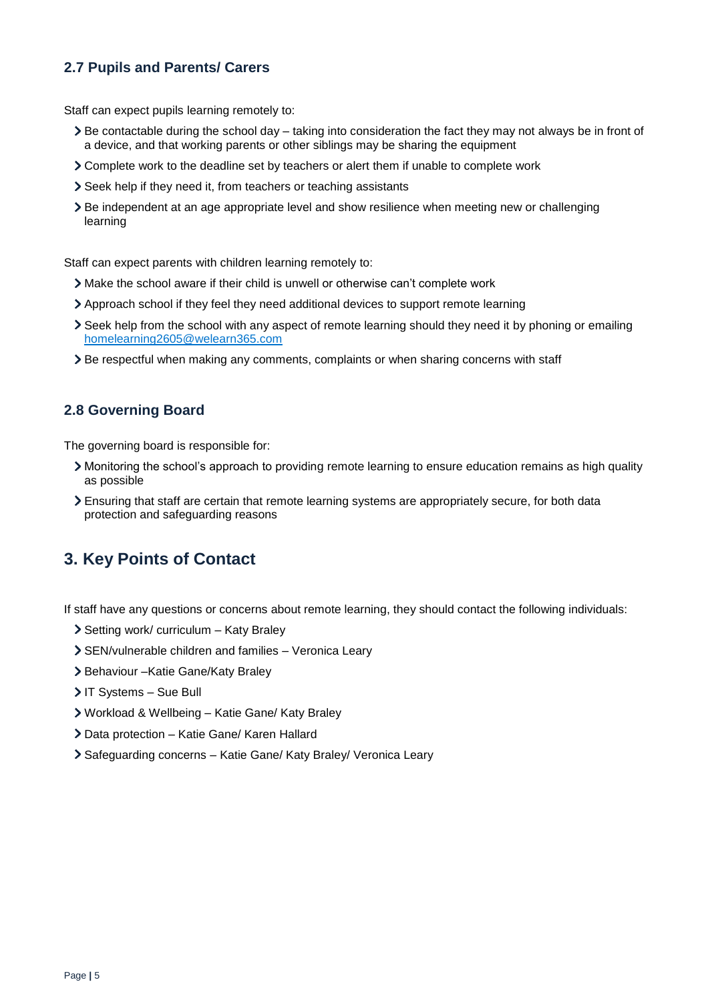## **2.7 Pupils and Parents/ Carers**

Staff can expect pupils learning remotely to:

- Be contactable during the school day taking into consideration the fact they may not always be in front of a device, and that working parents or other siblings may be sharing the equipment
- Complete work to the deadline set by teachers or alert them if unable to complete work
- Seek help if they need it, from teachers or teaching assistants
- Be independent at an age appropriate level and show resilience when meeting new or challenging learning

Staff can expect parents with children learning remotely to:

- Make the school aware if their child is unwell or otherwise can't complete work
- Approach school if they feel they need additional devices to support remote learning
- Seek help from the school with any aspect of remote learning should they need it by phoning or emailing [homelearning2605@welearn365.com](mailto:homelearning2605@welearn365.com)
- Be respectful when making any comments, complaints or when sharing concerns with staff

### **2.8 Governing Board**

The governing board is responsible for:

- Monitoring the school's approach to providing remote learning to ensure education remains as high quality as possible
- Ensuring that staff are certain that remote learning systems are appropriately secure, for both data protection and safeguarding reasons

# **3. Key Points of Contact**

If staff have any questions or concerns about remote learning, they should contact the following individuals:

- > Setting work/ curriculum Katy Braley
- SEN/vulnerable children and families Veronica Leary
- > Behaviour Katie Gane/Katy Braley
- > IT Systems Sue Bull
- Workload & Wellbeing Katie Gane/ Katy Braley
- Data protection Katie Gane/ Karen Hallard
- Safeguarding concerns Katie Gane/ Katy Braley/ Veronica Leary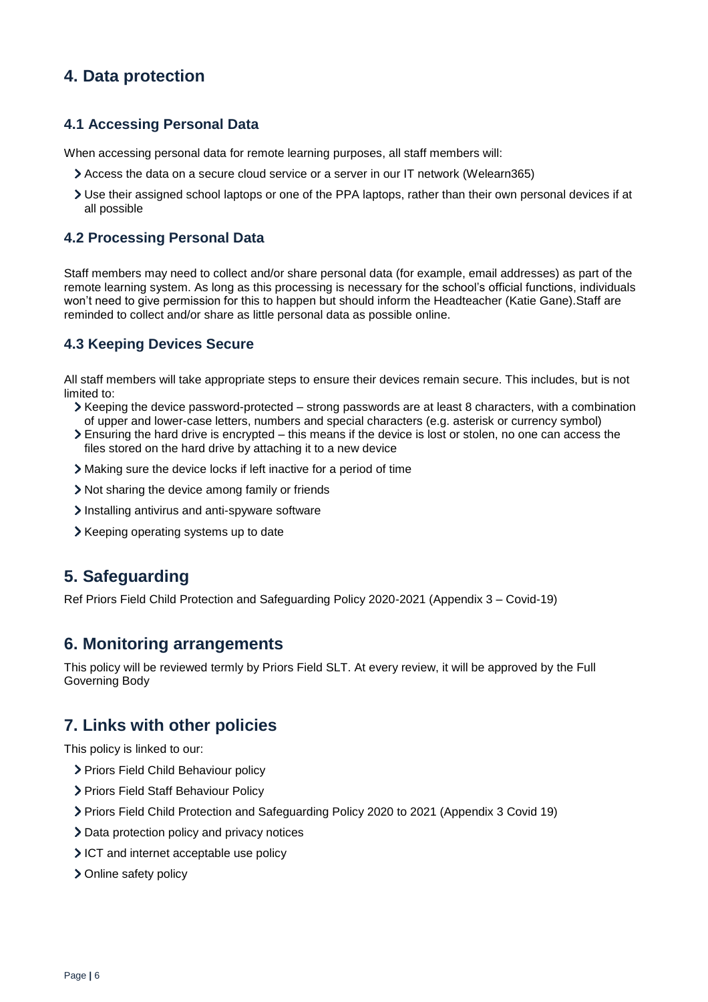# **4. Data protection**

### **4.1 Accessing Personal Data**

When accessing personal data for remote learning purposes, all staff members will:

- Access the data on a secure cloud service or a server in our IT network (Welearn365)
- Use their assigned school laptops or one of the PPA laptops, rather than their own personal devices if at all possible

#### **4.2 Processing Personal Data**

Staff members may need to collect and/or share personal data (for example, email addresses) as part of the remote learning system. As long as this processing is necessary for the school's official functions, individuals won't need to give permission for this to happen but should inform the Headteacher (Katie Gane).Staff are reminded to collect and/or share as little personal data as possible online.

### **4.3 Keeping Devices Secure**

All staff members will take appropriate steps to ensure their devices remain secure. This includes, but is not limited to:

- Keeping the device password-protected strong passwords are at least 8 characters, with a combination of upper and lower-case letters, numbers and special characters (e.g. asterisk or currency symbol)
- Ensuring the hard drive is encrypted this means if the device is lost or stolen, no one can access the files stored on the hard drive by attaching it to a new device
- Making sure the device locks if left inactive for a period of time
- Not sharing the device among family or friends
- Installing antivirus and anti-spyware software
- > Keeping operating systems up to date

## **5. Safeguarding**

Ref Priors Field Child Protection and Safeguarding Policy 2020-2021 (Appendix 3 – Covid-19)

### **6. Monitoring arrangements**

This policy will be reviewed termly by Priors Field SLT. At every review, it will be approved by the Full Governing Body

## **7. Links with other policies**

This policy is linked to our:

- > Priors Field Child Behaviour policy
- > Priors Field Staff Behaviour Policy
- Priors Field Child Protection and Safeguarding Policy 2020 to 2021 (Appendix 3 Covid 19)
- > Data protection policy and privacy notices
- ICT and internet acceptable use policy
- > Online safety policy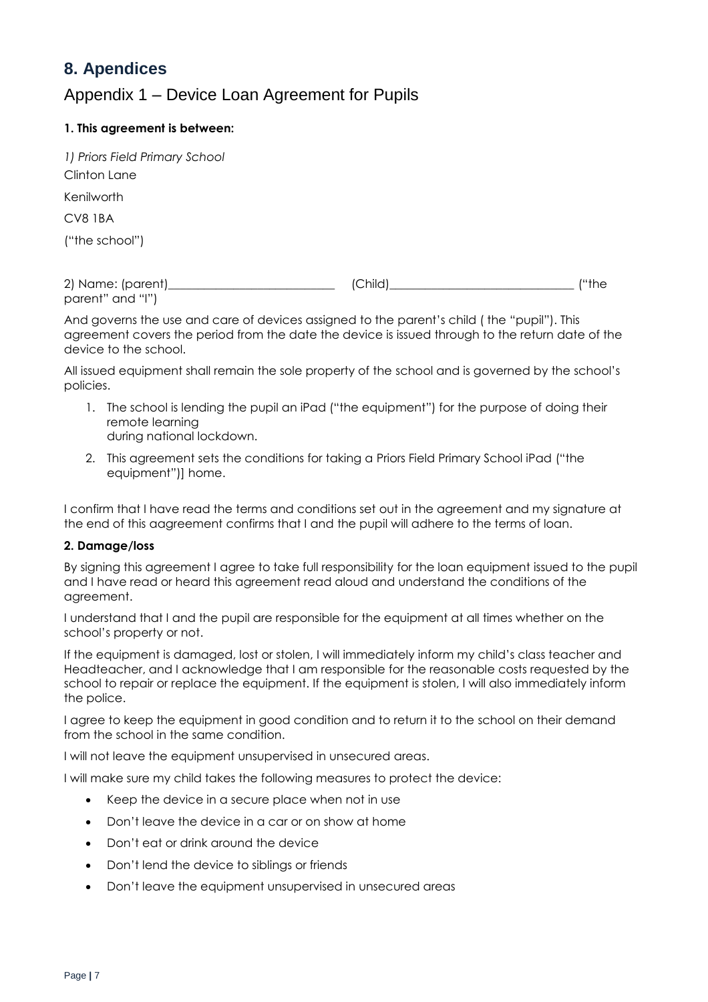# **8. Apendices**

# Appendix 1 – Device Loan Agreement for Pupils

#### **1. This agreement is between:**

| 1) Priors Field Primary School |  |  |
|--------------------------------|--|--|
| Clinton Lane                   |  |  |
| Kenilworth                     |  |  |
| CV8 IBA                        |  |  |
| ("the school")                 |  |  |
|                                |  |  |

2) Name: (parent)\_\_\_\_\_\_\_\_\_\_\_\_\_\_\_\_\_\_\_\_\_\_\_\_\_\_\_\_ (Child)\_\_\_\_\_\_\_\_\_\_\_\_\_\_\_\_\_\_\_\_\_\_\_\_\_\_\_\_\_\_\_ ("the parent" and "I")

And governs the use and care of devices assigned to the parent's child ( the "pupil"). This agreement covers the period from the date the device is issued through to the return date of the device to the school.

All issued equipment shall remain the sole property of the school and is governed by the school's policies.

- 1. The school is lending the pupil an iPad ("the equipment") for the purpose of doing their remote learning during national lockdown.
- 2. This agreement sets the conditions for taking a Priors Field Primary School iPad ("the equipment")] home.

I confirm that I have read the terms and conditions set out in the agreement and my signature at the end of this aagreement confirms that I and the pupil will adhere to the terms of loan.

#### **2. Damage/loss**

By signing this agreement I agree to take full responsibility for the loan equipment issued to the pupil and I have read or heard this agreement read aloud and understand the conditions of the agreement.

I understand that I and the pupil are responsible for the equipment at all times whether on the school's property or not.

If the equipment is damaged, lost or stolen, I will immediately inform my child's class teacher and Headteacher, and I acknowledge that I am responsible for the reasonable costs requested by the school to repair or replace the equipment. If the equipment is stolen, I will also immediately inform the police.

I agree to keep the equipment in good condition and to return it to the school on their demand from the school in the same condition.

I will not leave the equipment unsupervised in unsecured areas.

I will make sure my child takes the following measures to protect the device:

- Keep the device in a secure place when not in use
- Don't leave the device in a car or on show at home
- Don't eat or drink around the device
- Don't lend the device to siblings or friends
- Don't leave the equipment unsupervised in unsecured areas